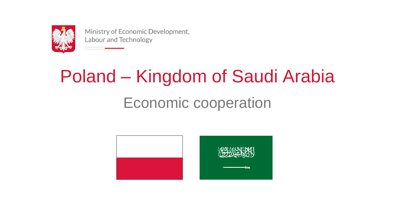

# Economic cooperation Poland – Kingdom of Saudi Arabia



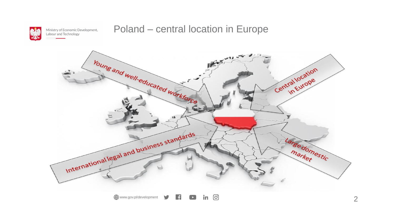

### Poland – central location in Europe



 $\bullet$  in  $\odot$ Www.gov.pl/development

2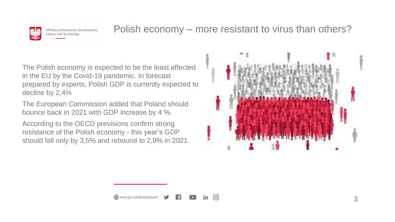

### Polish economy – more resistant to virus than others?





The Polish economy is expected to be the least affected in the EU by the Covid-19 pandemic. In forecast prepared by experts, Polish GDP is currently expected to decline by 2,4%

The European Commission added that Poland should bounce back in 2021 with GDP increase by 4 %.

According to the OECD previsions confirm strong resistance of the Polish economy - this year's GDP should fall only by 3,5% and rebound to 2,9% in 2021.



**0**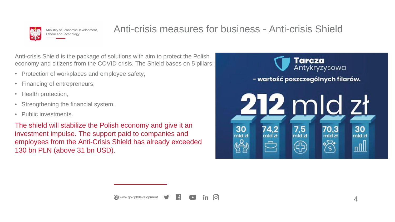

## Anti-crisis measures for business - Anti-crisis Shield

**0** 

Anti-crisis Shield is the package of solutions with aim to protect the Polish economy and citizens from the COVID crisis. The Shield bases on 5 pillars:

- Protection of workplaces and employee safety,
- Financing of entrepreneurs,
- Health protection,
- Strengthening the financial system,
- Public investments.

The shield will stabilize the Polish economy and give it an investment impulse. The support paid to companies and employees from the Anti-Crisis Shield has already exceeded 130 bn PLN (above 31 bn USD).

www.gov.pl/development

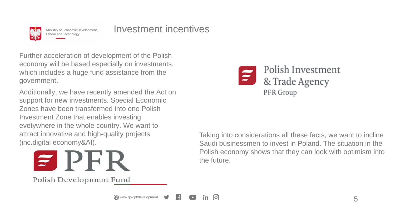

Investment incentives

Further acceleration of development of the Polish economy will be based especially on investments, which includes a huge fund assistance from the government.

Additionally, we have recently amended the Act on support for new investments. Special Economic Zones have been transformed into one Polish Investment Zone that enables investing evetywhere in the whole country. We want to attract innovative and high-quality projects (inc.digital economy&AI).

www.gov.pl/development

**0** 

<u>in</u>



Polish Development Fund

Taking into considerations all these facts, we want to incline Saudi businessmen to invest in Poland. The situation in the Polish economy shows that they can look with optimism into the future.

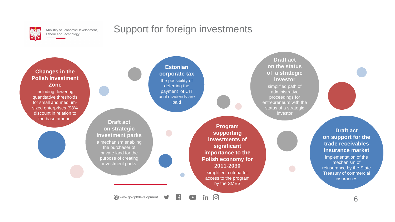

### Support for foreign investments

6

### **Changes in the Polish Investment Zone**

including: lowering quantitative thresholds for small and mediumsized enterprises (98% discount in relation to the base amount

### **Estonian corporate tax**

the possibility of deferring the payment of CIT until dividends are paid

H

**Draft act on the status of a strategic investor** simplified path of administrative proceedings for entrepreneurs with the status of a strategic investor

> **Draft act on support for the trade receivables insurance market**

implementation of the mechanism of reinsurance by the State Treasury of commercial insurances

**Program supporting investments of significant importance to the Polish economy for 2011-2030** simplified criteria for access to the program by the SMES

 $\odot$ 

in.

 $\left| \ \blacktriangleright \ \right|$ 

www.gov.pl/development

**Draft act on strategic investment parks**

a mechanism enabling the purchaser of private land for the purpose of creating investment parks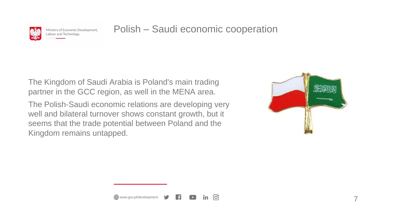

Polish – Saudi economic cooperation

7

The Kingdom of Saudi Arabia is Poland's main trading partner in the GCC region, as well in the MENA area.

The Polish-Saudi economic relations are developing very well and bilateral turnover shows constant growth, but it seems that the trade potential between Poland and the Kingdom remains untapped.

Www.gov.pl/development

**0** 

in.

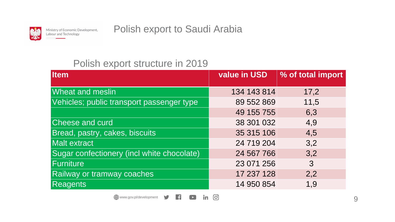

Polish export to Saudi Arabia

### Polish export structure in 2019

| <b>Item</b>                                | <b>value in USD</b>               | % of total import |
|--------------------------------------------|-----------------------------------|-------------------|
| <b>Wheat and meslin</b>                    | 134 143 814                       | 17,2              |
| Vehicles; public transport passenger type  | 89 552 869                        | 11,5              |
|                                            | 49 155 755                        | 6,3               |
| <b>Cheese and curd</b>                     | 38 301 032                        | 4,9               |
| Bread, pastry, cakes, biscuits             | 35 315 106                        | 4,5               |
| Malt extract                               | 24 719 204                        | 3,2               |
| Sugar confectionery (incl white chocolate) | 24 567 766                        | 3,2               |
| Furniture                                  | 23 071 256                        | 3                 |
| <b>Railway or tramway coaches</b>          | 17 237 128                        | 2,2               |
| <b>Reagents</b>                            | 14 950 854                        | 1,9               |
| www.gov.pl/development                     | $\boxed{\textcircled{\textcirc}}$ |                   |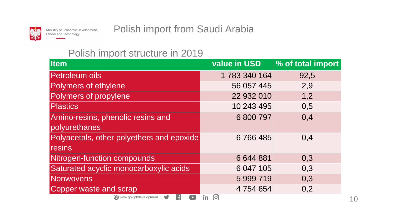

Polish import from Saudi Arabia

### Polish import structure in 2019

| <b>Item</b>                               | value in USD           | % of total import |
|-------------------------------------------|------------------------|-------------------|
| <b>Petroleum oils</b>                     | 1 783 340 164          | 92,5              |
| Polymers of ethylene                      | 56 057 445             | 2,9               |
| Polymers of propylene                     | 22 932 010             | 1,2               |
| <b>Plastics</b>                           | 10 243 495             | 0,5               |
| Amino-resins, phenolic resins and         | 6 800 797              | 0,4               |
| polyurethanes                             |                        |                   |
| Polyacetals, other polyethers and epoxide | 6766485                | 0,4               |
| resins                                    |                        |                   |
| Nitrogen-function compounds               | 6 644 881              | 0,3               |
| Saturated acyclic monocarboxylic acids    | 6 047 105              | 0,3               |
| Nonwovens                                 | 5 999 719              | 0,3               |
| <b>Copper waste and scrap</b>             | 4 754 654              | 0,2               |
| www.gov.pl/development SALE               | $\bullet$<br><u>in</u> |                   |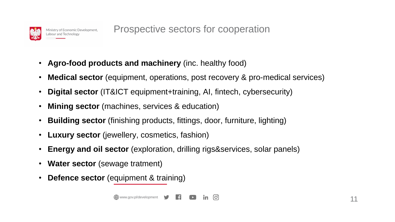

Prospective sectors for cooperation

- **Agro-food products and machinery** (inc. healthy food)
- **Medical sector** (equipment, operations, post recovery & pro-medical services)
- **Digital sector** (IT&ICT equipment+training, AI, fintech, cybersecurity)
- **Mining sector** (machines, services & education)
- **Building sector** (finishing products, fittings, door, furniture, lighting)
- **Luxury sector** (jewellery, cosmetics, fashion)
- **Energy and oil sector** (exploration, drilling rigs&services, solar panels)
- **Water sector** (sewage tratment)
- **Defence sector** (equipment & training)